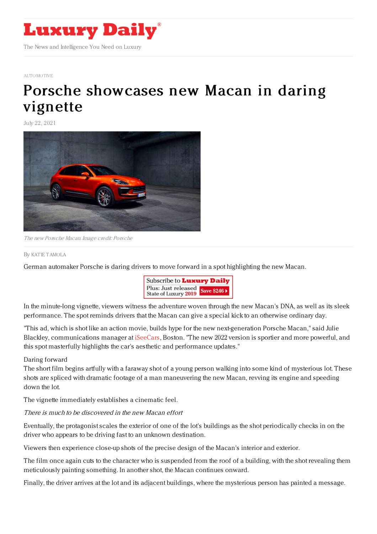

#### [AUTOMOTIVE](https://www.luxurydaily.com/category/sectors/automotive-industry-sectors/)

# Porsche [showcases](https://www.luxurydaily.com/porsche-macana-dare-forward/) new Macan in daring vignette

July 22, 2021



The new Porsche Macan. Image credit: Porsche

### By KAT IE [TAMOLA](file:///author/katie-tamola)

German automaker Porsche is daring drivers to move forward in a spot highlighting the new Macan.



In the minute-long vignette, viewers witness the adventure woven through the new Macan's DNA, as well as its sleek performance. The spot reminds drivers that the Macan can give a special kick to an otherwise ordinary day.

"This ad, which is shot like an action movie, builds hype for the new next-generation Porsche Macan," said Julie Blackley, communications manager at [iSeeCars](http://iseecars.com), Boston. "The new 2022 version is sportier and more powerful, and this spot masterfully highlights the car's aesthetic and performance updates."

## Daring forward

The short film begins artfully with a faraway shot of a young person walking into some kind of mysterious lot. These shots are spliced with dramatic footage of a man maneuvering the new Macan, revving its engine and speeding down the lot.

The vignette immediately establishes a cinematic feel.

## There is much to be discovered in the new Macan effort

Eventually, the protagonist scales the exterior of one of the lot's buildings as the shot periodically checks in on the driver who appears to be driving fast to an unknown destination.

Viewers then experience close-up shots of the precise design of the Macan's interior and exterior.

The film once again cuts to the character who is suspended from the roof of a building, with the shot revealing them meticulously painting something. In another shot, the Macan continues onward.

Finally, the driver arrives at the lot and its adjacent buildings, where the mysterious person has painted a message.